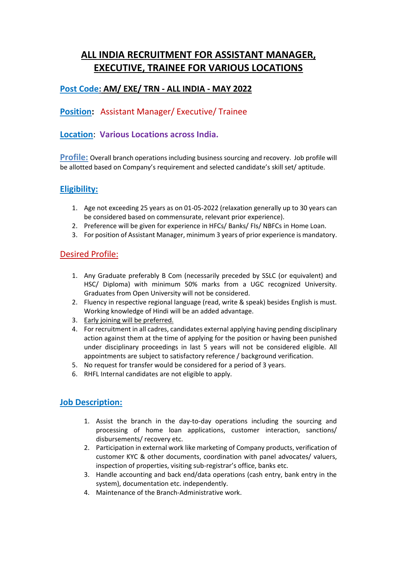# **ALL INDIA RECRUITMENT FOR ASSISTANT MANAGER, EXECUTIVE, TRAINEE FOR VARIOUS LOCATIONS**

## **Post Code: AM/ EXE/ TRN - ALL INDIA - MAY 2022**

## **Position:** Assistant Manager/ Executive/ Trainee

## **Location**: **Various Locations across India.**

**Profile:** Overall branch operations including business sourcing and recovery. Job profile will be allotted based on Company's requirement and selected candidate's skill set/ aptitude.

### **Eligibility:**

- 1. Age not exceeding 25 years as on 01-05-2022 (relaxation generally up to 30 years can be considered based on commensurate, relevant prior experience).
- 2. Preference will be given for experience in HFCs/ Banks/ FIs/ NBFCs in Home Loan.
- 3. For position of Assistant Manager, minimum 3 years of prior experience is mandatory.

#### Desired Profile:

- 1. Any Graduate preferably B Com (necessarily preceded by SSLC (or equivalent) and HSC/ Diploma) with minimum 50% marks from a UGC recognized University. Graduates from Open University will not be considered.
- 2. Fluency in respective regional language (read, write & speak) besides English is must. Working knowledge of Hindi will be an added advantage.
- 3. Early joining will be preferred.
- 4. For recruitment in all cadres, candidates external applying having pending disciplinary action against them at the time of applying for the position or having been punished under disciplinary proceedings in last 5 years will not be considered eligible. All appointments are subject to satisfactory reference / background verification.
- 5. No request for transfer would be considered for a period of 3 years.
- 6. RHFL Internal candidates are not eligible to apply.

#### **Job Description:**

- 1. Assist the branch in the day-to-day operations including the sourcing and processing of home loan applications, customer interaction, sanctions/ disbursements/ recovery etc.
- 2. Participation in external work like marketing of Company products, verification of customer KYC & other documents, coordination with panel advocates/ valuers, inspection of properties, visiting sub-registrar's office, banks etc.
- 3. Handle accounting and back end/data operations (cash entry, bank entry in the system), documentation etc. independently.
- 4. Maintenance of the Branch-Administrative work.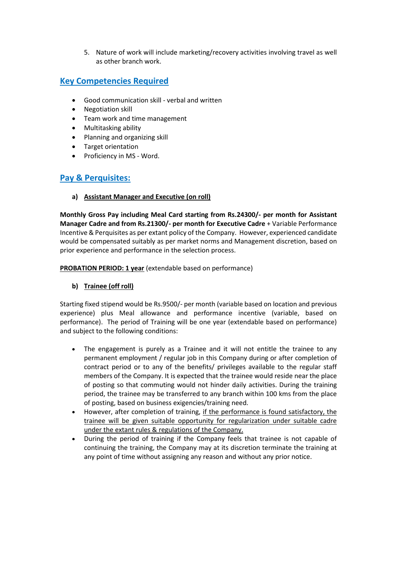5. Nature of work will include marketing/recovery activities involving travel as well as other branch work.

## **Key Competencies Required**

- Good communication skill verbal and written
- Negotiation skill
- Team work and time management
- Multitasking ability
- Planning and organizing skill
- Target orientation
- Proficiency in MS Word.

## **Pay & Perquisites:**

**a) Assistant Manager and Executive (on roll)** 

**Monthly Gross Pay including Meal Card starting from Rs.24300/- per month for Assistant Manager Cadre and from Rs.21300/- per month for Executive Cadre** + Variable Performance Incentive & Perquisites as per extant policy of the Company. However, experienced candidate would be compensated suitably as per market norms and Management discretion, based on prior experience and performance in the selection process.

**PROBATION PERIOD: 1 year** (extendable based on performance)

#### **b) Trainee (off roll)**

Starting fixed stipend would be Rs.9500/- per month (variable based on location and previous experience) plus Meal allowance and performance incentive (variable, based on performance). The period of Training will be one year (extendable based on performance) and subject to the following conditions:

- The engagement is purely as a Trainee and it will not entitle the trainee to any permanent employment / regular job in this Company during or after completion of contract period or to any of the benefits/ privileges available to the regular staff members of the Company. It is expected that the trainee would reside near the place of posting so that commuting would not hinder daily activities. During the training period, the trainee may be transferred to any branch within 100 kms from the place of posting, based on business exigencies/training need.
- However, after completion of training, if the performance is found satisfactory, the trainee will be given suitable opportunity for regularization under suitable cadre under the extant rules & regulations of the Company.
- During the period of training if the Company feels that trainee is not capable of continuing the training, the Company may at its discretion terminate the training at any point of time without assigning any reason and without any prior notice.